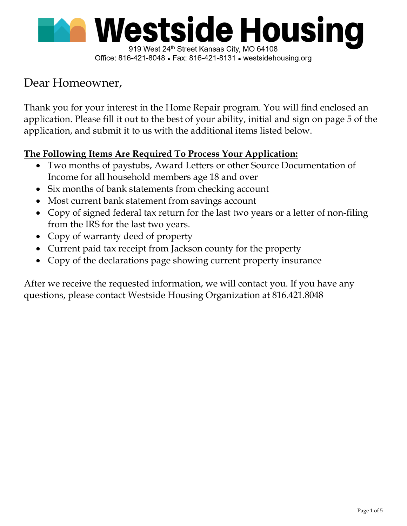

#### Office: 816-421-8048 • Fax: 816-421-8131 • westsidehousing.org

# Dear Homeowner,

Thank you for your interest in the Home Repair program. You will find enclosed an application. Please fill it out to the best of your ability, initial and sign on page 5 of the application, and submit it to us with the additional items listed below.

## The Following Items Are Required To Process Your Application:

- Two months of paystubs, Award Letters or other Source Documentation of Income for all household members age 18 and over
- Six months of bank statements from checking account
- Most current bank statement from savings account
- Copy of signed federal tax return for the last two years or a letter of non-filing from the IRS for the last two years.
- Copy of warranty deed of property
- Current paid tax receipt from Jackson county for the property
- Copy of the declarations page showing current property insurance

After we receive the requested information, we will contact you. If you have any questions, please contact Westside Housing Organization at 816.421.8048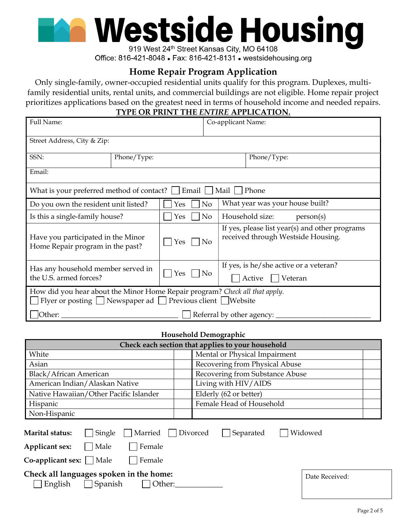

919 West 24th Street Kansas City, MO 64108 Office: 816-421-8048 • Fax: 816-421-8131 • westsidehousing.org

## Home Repair Program Application

Only single-family, owner-occupied residential units qualify for this program. Duplexes, multifamily residential units, rental units, and commercial buildings are not eligible. Home repair project prioritizes applications based on the greatest need in terms of household income and needed repairs. TYPE OR PRINT THE ENTIRE APPLICATION.

| Full Name:                                                                                                                                                       |                           |     |                | Co-applicant Name: |                                                             |                                                |
|------------------------------------------------------------------------------------------------------------------------------------------------------------------|---------------------------|-----|----------------|--------------------|-------------------------------------------------------------|------------------------------------------------|
| Street Address, City & Zip:                                                                                                                                      |                           |     |                |                    |                                                             |                                                |
| SSN:                                                                                                                                                             | Phone/Type:               |     |                |                    | Phone/Type:                                                 |                                                |
| Email:                                                                                                                                                           |                           |     |                |                    |                                                             |                                                |
| Email  <br>What is your preferred method of contact?<br>Mail  <br>Phone                                                                                          |                           |     |                |                    |                                                             |                                                |
| Do you own the resident unit listed?                                                                                                                             |                           | Yes | N <sub>o</sub> |                    | What year was your house built?                             |                                                |
| Is this a single-family house?                                                                                                                                   |                           | Yes | N <sub>o</sub> |                    | Household size:                                             | person(s)                                      |
| Have you participated in the Minor<br>Home Repair program in the past?                                                                                           |                           | Yes | N <sub>0</sub> |                    | received through Westside Housing.                          | If yes, please list year(s) and other programs |
| Has any household member served in<br>the U.S. armed forces?                                                                                                     |                           | Yes | N <sub>o</sub> |                    | If yes, is he/she active or a veteran?<br>Active<br>Veteran |                                                |
| How did you hear about the Minor Home Repair program? Check all that apply.<br>$\Box$ Flyer or posting $\Box$ Newspaper ad $\Box$ Previous client $\Box$ Website |                           |     |                |                    |                                                             |                                                |
| Other:                                                                                                                                                           | Referral by other agency: |     |                |                    |                                                             |                                                |

#### Household Demographic

| Check each section that applies to your household                                                                                                           |                                 |  |  |  |  |  |
|-------------------------------------------------------------------------------------------------------------------------------------------------------------|---------------------------------|--|--|--|--|--|
| White                                                                                                                                                       | Mental or Physical Impairment   |  |  |  |  |  |
| Asian                                                                                                                                                       | Recovering from Physical Abuse  |  |  |  |  |  |
| Black/African American                                                                                                                                      | Recovering from Substance Abuse |  |  |  |  |  |
| American Indian/Alaskan Native                                                                                                                              | Living with HIV/AIDS            |  |  |  |  |  |
| Native Hawaiian/Other Pacific Islander                                                                                                                      | Elderly (62 or better)          |  |  |  |  |  |
| Hispanic                                                                                                                                                    | Female Head of Household        |  |  |  |  |  |
| Non-Hispanic                                                                                                                                                |                                 |  |  |  |  |  |
| Widowed<br>Married  <br>Divorced<br>Separated<br>Marital status:<br>Single<br>Female<br>Male<br>Applicant sex:<br><b>Co-applicant sex:</b>   Male<br>Female |                                 |  |  |  |  |  |
| Check all languages spoken in the home:<br>English<br>Spanish<br>Other:                                                                                     | Date Received:                  |  |  |  |  |  |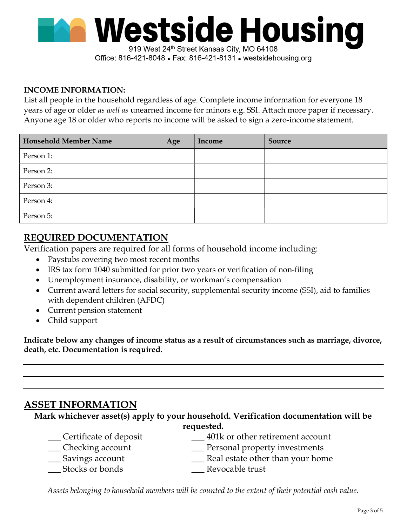

Office: 816-421-8048 • Fax: 816-421-8131 • westsidehousing.org

#### INCOME INFORMATION:

List all people in the household regardless of age. Complete income information for everyone 18 years of age or older as well as unearned income for minors e.g. SSI. Attach more paper if necessary. Anyone age 18 or older who reports no income will be asked to sign a zero-income statement.

| <b>Household Member Name</b> | Age | Income | Source |
|------------------------------|-----|--------|--------|
| Person 1:                    |     |        |        |
| Person 2:                    |     |        |        |
| Person 3:                    |     |        |        |
| Person 4:                    |     |        |        |
| Person 5:                    |     |        |        |

#### REQUIRED DOCUMENTATION

Verification papers are required for all forms of household income including:

- Paystubs covering two most recent months
- IRS tax form 1040 submitted for prior two years or verification of non-filing
- Unemployment insurance, disability, or workman's compensation
- Current award letters for social security, supplemental security income (SSI), aid to families with dependent children (AFDC)
- Current pension statement
- Child support

Indicate below any changes of income status as a result of circumstances such as marriage, divorce, death, etc. Documentation is required.

### ASSET INFORMATION

Mark whichever asset(s) apply to your household. Verification documentation will be requested.

- \_\_\_ Certificate of deposit
- \_\_\_ Checking account
- \_\_\_ Savings account
- \_\_\_ Stocks or bonds
- \_\_\_ 401k or other retirement account
- \_\_\_ Personal property investments
- \_\_\_ Real estate other than your home
- \_\_\_ Revocable trust

Assets belonging to household members will be counted to the extent of their potential cash value.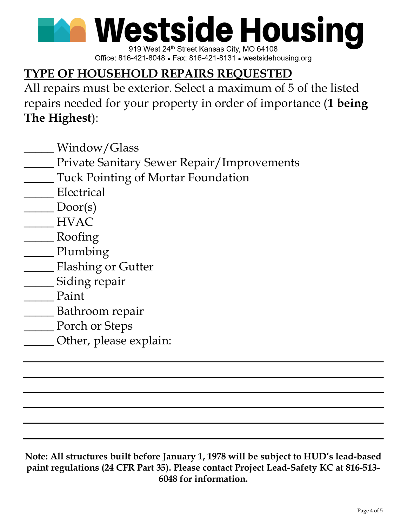**Westside Housing** 

919 West 24th Street Kansas City, MO 64108 Office: 816-421-8048 • Fax: 816-421-8131 • westsidehousing.org

# TYPE OF HOUSEHOLD REPAIRS REQUESTED

All repairs must be exterior. Select a maximum of 5 of the listed repairs needed for your property in order of importance (1 being The Highest):

- \_\_\_\_\_ Window/Glass
- \_\_\_\_\_ Private Sanitary Sewer Repair/Improvements
- \_\_\_\_\_ Tuck Pointing of Mortar Foundation
- Electrical
- $\sum$  Door(s)
- \_\_\_\_\_ HVAC
- \_\_\_\_\_ Roofing
- \_\_\_\_\_ Plumbing
- \_\_\_\_\_ Flashing or Gutter
- \_\_\_\_\_ Siding repair
- \_\_\_\_\_ Paint
- \_\_\_\_\_ Bathroom repair
- \_\_\_\_\_ Porch or Steps
- \_\_\_\_\_ Other, please explain:

Note: All structures built before January 1, 1978 will be subject to HUD's lead-based paint regulations (24 CFR Part 35). Please contact Project Lead-Safety KC at 816-513- 6048 for information.